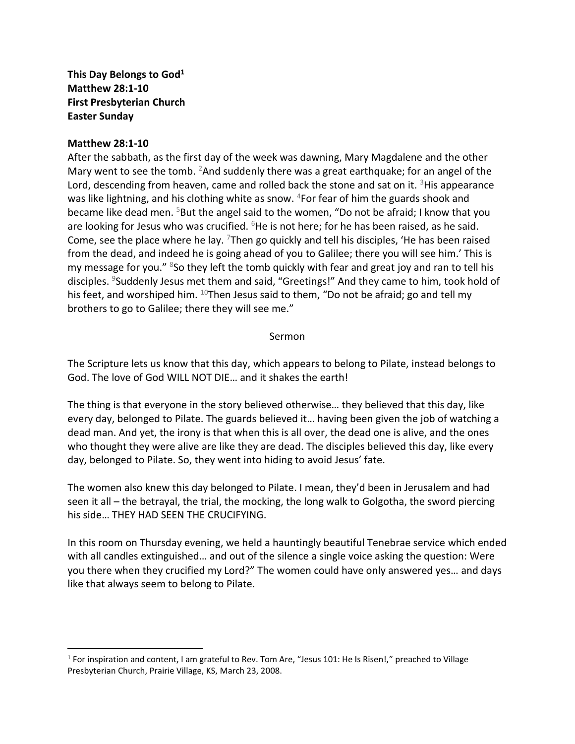**This Day Belongs to God<sup>1</sup> Matthew 28:1-10 First Presbyterian Church Easter Sunday**

## **Matthew 28:1-10**

After the sabbath, as the first day of the week was dawning, Mary Magdalene and the other Mary went to see the tomb. <sup>2</sup>And suddenly there was a great earthquake; for an angel of the Lord, descending from heaven, came and rolled back the stone and sat on it.  ${}^{3}$ His appearance was like lightning, and his clothing white as snow. <sup>4</sup>For fear of him the guards shook and became like dead men. <sup>5</sup>But the angel said to the women, "Do not be afraid; I know that you are looking for Jesus who was crucified.  $6$ He is not here; for he has been raised, as he said. Come, see the place where he lay.  $7$ Then go quickly and tell his disciples, 'He has been raised from the dead, and indeed he is going ahead of you to Galilee; there you will see him.' This is my message for you." <sup>8</sup>So they left the tomb quickly with fear and great joy and ran to tell his disciples. <sup>9</sup>Suddenly Jesus met them and said, "Greetings!" And they came to him, took hold of his feet, and worshiped him. <sup>10</sup>Then Jesus said to them, "Do not be afraid; go and tell my brothers to go to Galilee; there they will see me."

## Sermon

The Scripture lets us know that this day, which appears to belong to Pilate, instead belongs to God. The love of God WILL NOT DIE… and it shakes the earth!

The thing is that everyone in the story believed otherwise… they believed that this day, like every day, belonged to Pilate. The guards believed it… having been given the job of watching a dead man. And yet, the irony is that when this is all over, the dead one is alive, and the ones who thought they were alive are like they are dead. The disciples believed this day, like every day, belonged to Pilate. So, they went into hiding to avoid Jesus' fate.

The women also knew this day belonged to Pilate. I mean, they'd been in Jerusalem and had seen it all – the betrayal, the trial, the mocking, the long walk to Golgotha, the sword piercing his side… THEY HAD SEEN THE CRUCIFYING.

In this room on Thursday evening, we held a hauntingly beautiful Tenebrae service which ended with all candles extinguished… and out of the silence a single voice asking the question: Were you there when they crucified my Lord?" The women could have only answered yes… and days like that always seem to belong to Pilate.

<sup>&</sup>lt;sup>1</sup> For inspiration and content, I am grateful to Rev. Tom Are, "Jesus 101: He Is Risen!," preached to Village Presbyterian Church, Prairie Village, KS, March 23, 2008.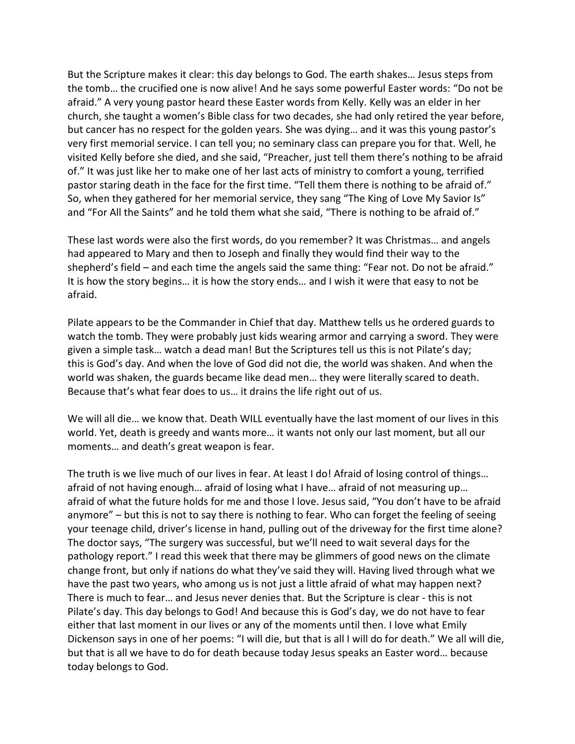But the Scripture makes it clear: this day belongs to God. The earth shakes… Jesus steps from the tomb… the crucified one is now alive! And he says some powerful Easter words: "Do not be afraid." A very young pastor heard these Easter words from Kelly. Kelly was an elder in her church, she taught a women's Bible class for two decades, she had only retired the year before, but cancer has no respect for the golden years. She was dying… and it was this young pastor's very first memorial service. I can tell you; no seminary class can prepare you for that. Well, he visited Kelly before she died, and she said, "Preacher, just tell them there's nothing to be afraid of." It was just like her to make one of her last acts of ministry to comfort a young, terrified pastor staring death in the face for the first time. "Tell them there is nothing to be afraid of." So, when they gathered for her memorial service, they sang "The King of Love My Savior Is" and "For All the Saints" and he told them what she said, "There is nothing to be afraid of."

These last words were also the first words, do you remember? It was Christmas… and angels had appeared to Mary and then to Joseph and finally they would find their way to the shepherd's field – and each time the angels said the same thing: "Fear not. Do not be afraid." It is how the story begins… it is how the story ends… and I wish it were that easy to not be afraid.

Pilate appears to be the Commander in Chief that day. Matthew tells us he ordered guards to watch the tomb. They were probably just kids wearing armor and carrying a sword. They were given a simple task… watch a dead man! But the Scriptures tell us this is not Pilate's day; this is God's day. And when the love of God did not die, the world was shaken. And when the world was shaken, the guards became like dead men… they were literally scared to death. Because that's what fear does to us… it drains the life right out of us.

We will all die… we know that. Death WILL eventually have the last moment of our lives in this world. Yet, death is greedy and wants more… it wants not only our last moment, but all our moments… and death's great weapon is fear.

The truth is we live much of our lives in fear. At least I do! Afraid of losing control of things... afraid of not having enough… afraid of losing what I have… afraid of not measuring up… afraid of what the future holds for me and those I love. Jesus said, "You don't have to be afraid anymore" – but this is not to say there is nothing to fear. Who can forget the feeling of seeing your teenage child, driver's license in hand, pulling out of the driveway for the first time alone? The doctor says, "The surgery was successful, but we'll need to wait several days for the pathology report." I read this week that there may be glimmers of good news on the climate change front, but only if nations do what they've said they will. Having lived through what we have the past two years, who among us is not just a little afraid of what may happen next? There is much to fear… and Jesus never denies that. But the Scripture is clear - this is not Pilate's day. This day belongs to God! And because this is God's day, we do not have to fear either that last moment in our lives or any of the moments until then. I love what Emily Dickenson says in one of her poems: "I will die, but that is all I will do for death." We all will die, but that is all we have to do for death because today Jesus speaks an Easter word… because today belongs to God.